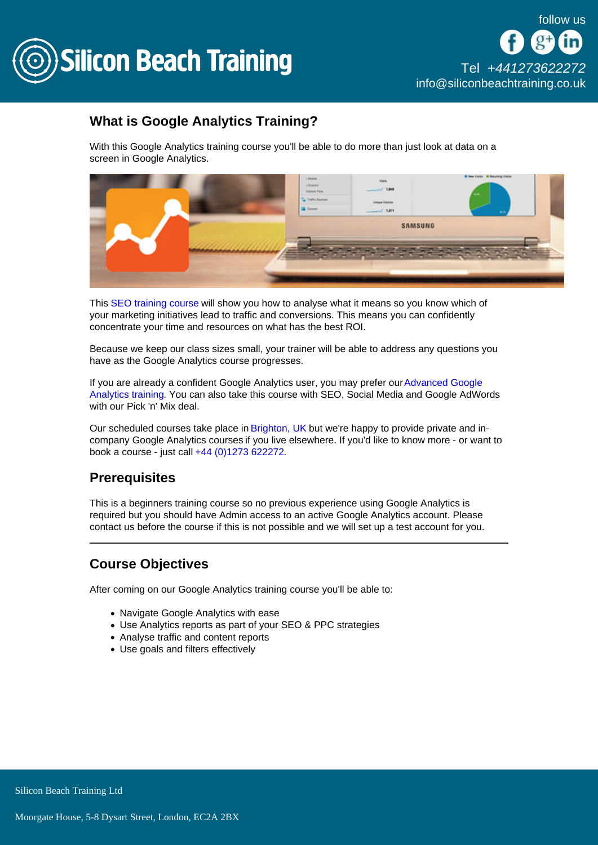

# What is Google Analytics Training?

With this Google Analytics training course you'll be able to do more than just look at data on a screen in Google Analytics.

This [SEO training course](/seo) will show you how to analyse what it means so you know which of your marketing initiatives lead to traffic and conversions. This means you can confidently concentrate your time and resources on what has the best ROI.

Because we keep our class sizes small, your trainer will be able to address any questions you have as the Google Analytics course progresses.

If you are already a confident Google Analytics user, you may prefer our [Advanced Google](/seo/advanced-google-analytics-training)  [Analytics training.](/seo/advanced-google-analytics-training) You can also take this course with SEO, Social Media and Google AdWords with our Pick 'n' Mix deal.

Our scheduled courses take place in [Brighton, UK](/brighton-courses) but we're happy to provide private and incompany Google Analytics courses if you live elsewhere. If you'd like to know more - or want to book a course - just call [+44 \(0\)1273 622272](tel:441273622272).

# **Prerequisites**

This is a beginners training course so no previous experience using Google Analytics is required but you should have Admin access to an active Google Analytics account. Please contact us before the course if this is not possible and we will set up a test account for you.

# Course Objectives

After coming on our Google Analytics training course you'll be able to:

- Navigate Google Analytics with ease
- Use Analytics reports as part of your SEO & PPC strategies
- Analyse traffic and content reports
- Use goals and filters effectively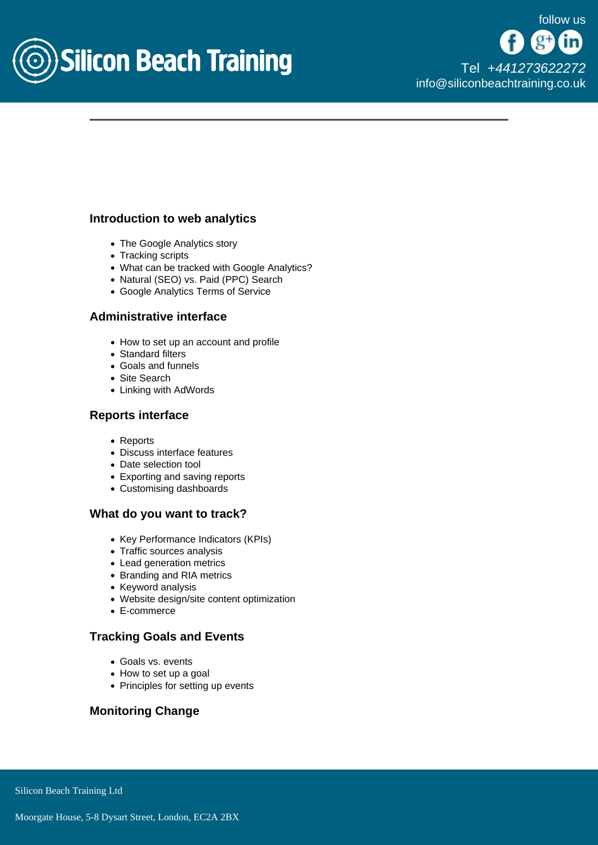

#### Introduction to web analytics

- The Google Analytics story
- Tracking scripts
- What can be tracked with Google Analytics?
- Natural (SEO) vs. Paid (PPC) Search
- Google Analytics Terms of Service

#### Administrative interface

- How to set up an account and profile
- Standard filters
- Goals and funnels
- Site Search
- Linking with AdWords

#### Reports interface

- Reports
- Discuss interface features
- Date selection tool
- Exporting and saving reports
- Customising dashboards

#### What do you want to track?

- Key Performance Indicators (KPIs)
- Traffic sources analysis
- Lead generation metrics
- Branding and RIA metrics
- Keyword analysis
- Website design/site content optimization
- E-commerce

## Tracking Goals and Events

- Goals vs. events
- How to set up a goal
- Principles for setting up events

## Monitoring Change

Silicon Beach Training Ltd